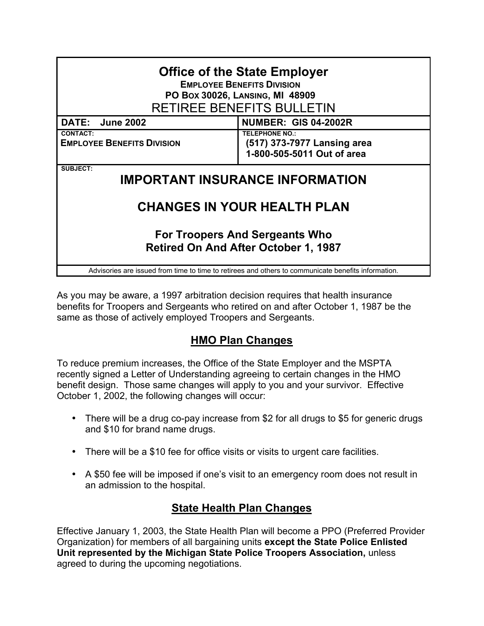| <b>Office of the State Employer</b><br><b>EMPLOYEE BENEFITS DIVISION</b><br>PO Box 30026, LANSING, MI 48909<br>RETIREE BENEFITS BULLETIN |                                                                                    |
|------------------------------------------------------------------------------------------------------------------------------------------|------------------------------------------------------------------------------------|
| DATE:<br><b>June 2002</b>                                                                                                                | <b>NUMBER: GIS 04-2002R</b>                                                        |
| <b>CONTACT:</b><br><b>EMPLOYEE BENEFITS DIVISION</b>                                                                                     | <b>TELEPHONE NO.:</b><br>(517) 373-7977 Lansing area<br>1-800-505-5011 Out of area |
| SUBJECT:<br><b>IMPORTANT INSURANCE INFORMATION</b>                                                                                       |                                                                                    |
| <b>CHANGES IN YOUR HEALTH PLAN</b>                                                                                                       |                                                                                    |
| <b>For Troopers And Sergeants Who</b><br><b>Retired On And After October 1, 1987</b>                                                     |                                                                                    |
| Advisories are issued from time to time to retirees and others to communicate benefits information.                                      |                                                                                    |

As you may be aware, a 1997 arbitration decision requires that health insurance benefits for Troopers and Sergeants who retired on and after October 1, 1987 be the same as those of actively employed Troopers and Sergeants.

## **HMO Plan Changes**

To reduce premium increases, the Office of the State Employer and the MSPTA recently signed a Letter of Understanding agreeing to certain changes in the HMO benefit design. Those same changes will apply to you and your survivor. Effective October 1, 2002, the following changes will occur:

- There will be a drug co-pay increase from \$2 for all drugs to \$5 for generic drugs and \$10 for brand name drugs.
- There will be a \$10 fee for office visits or visits to urgent care facilities.
- A \$50 fee will be imposed if one's visit to an emergency room does not result in an admission to the hospital.

## **State Health Plan Changes**

Effective January 1, 2003, the State Health Plan will become a PPO (Preferred Provider Organization) for members of all bargaining units **except the State Police Enlisted Unit represented by the Michigan State Police Troopers Association,** unless agreed to during the upcoming negotiations.